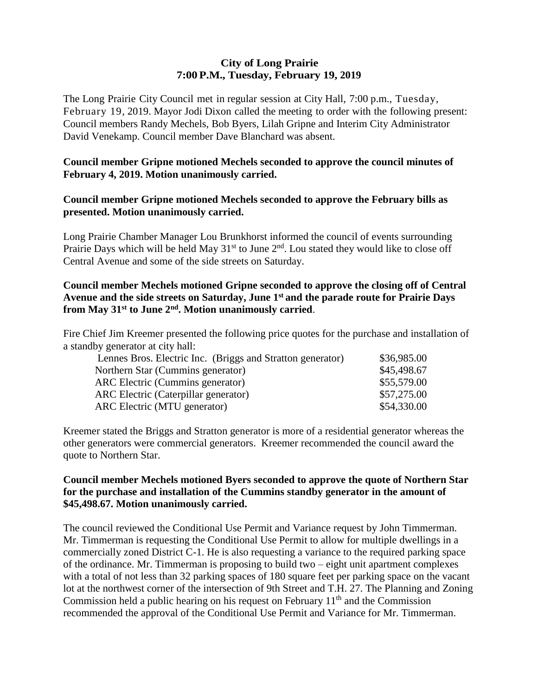### **City of Long Prairie 7:00P.M., Tuesday, February 19, 2019**

The Long Prairie City Council met in regular session at City Hall, 7:00 p.m., Tuesday, February 19, 2019. Mayor Jodi Dixon called the meeting to order with the following present: Council members Randy Mechels, Bob Byers, Lilah Gripne and Interim City Administrator David Venekamp. Council member Dave Blanchard was absent.

# **Council member Gripne motioned Mechels seconded to approve the council minutes of February 4, 2019. Motion unanimously carried.**

### **Council member Gripne motioned Mechels seconded to approve the February bills as presented. Motion unanimously carried.**

Long Prairie Chamber Manager Lou Brunkhorst informed the council of events surrounding Prairie Days which will be held May 31<sup>st</sup> to June 2<sup>nd</sup>. Lou stated they would like to close off Central Avenue and some of the side streets on Saturday.

# **Council member Mechels motioned Gripne seconded to approve the closing off of Central Avenue and the side streets on Saturday, June 1 st and the parade route for Prairie Days from May 31st to June 2nd. Motion unanimously carried**.

Fire Chief Jim Kreemer presented the following price quotes for the purchase and installation of a standby generator at city hall:

| \$36,985.00 |
|-------------|
| \$45,498.67 |
| \$55,579.00 |
| \$57,275.00 |
| \$54,330.00 |
|             |

Kreemer stated the Briggs and Stratton generator is more of a residential generator whereas the other generators were commercial generators. Kreemer recommended the council award the quote to Northern Star.

### **Council member Mechels motioned Byers seconded to approve the quote of Northern Star for the purchase and installation of the Cummins standby generator in the amount of \$45,498.67. Motion unanimously carried.**

The council reviewed the Conditional Use Permit and Variance request by John Timmerman. Mr. Timmerman is requesting the Conditional Use Permit to allow for multiple dwellings in a commercially zoned District C-1. He is also requesting a variance to the required parking space of the ordinance. Mr. Timmerman is proposing to build two – eight unit apartment complexes with a total of not less than 32 parking spaces of 180 square feet per parking space on the vacant lot at the northwest corner of the intersection of 9th Street and T.H. 27. The Planning and Zoning Commission held a public hearing on his request on February  $11<sup>th</sup>$  and the Commission recommended the approval of the Conditional Use Permit and Variance for Mr. Timmerman.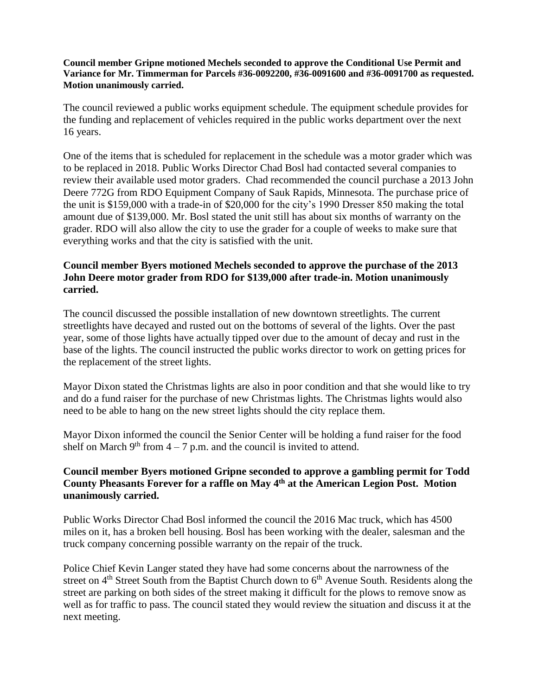#### **Council member Gripne motioned Mechels seconded to approve the Conditional Use Permit and Variance for Mr. Timmerman for Parcels #36-0092200, #36-0091600 and #36-0091700 as requested. Motion unanimously carried.**

The council reviewed a public works equipment schedule. The equipment schedule provides for the funding and replacement of vehicles required in the public works department over the next 16 years.

One of the items that is scheduled for replacement in the schedule was a motor grader which was to be replaced in 2018. Public Works Director Chad Bosl had contacted several companies to review their available used motor graders. Chad recommended the council purchase a 2013 John Deere 772G from RDO Equipment Company of Sauk Rapids, Minnesota. The purchase price of the unit is \$159,000 with a trade-in of \$20,000 for the city's 1990 Dresser 850 making the total amount due of \$139,000. Mr. Bosl stated the unit still has about six months of warranty on the grader. RDO will also allow the city to use the grader for a couple of weeks to make sure that everything works and that the city is satisfied with the unit.

# **Council member Byers motioned Mechels seconded to approve the purchase of the 2013 John Deere motor grader from RDO for \$139,000 after trade-in. Motion unanimously carried.**

The council discussed the possible installation of new downtown streetlights. The current streetlights have decayed and rusted out on the bottoms of several of the lights. Over the past year, some of those lights have actually tipped over due to the amount of decay and rust in the base of the lights. The council instructed the public works director to work on getting prices for the replacement of the street lights.

Mayor Dixon stated the Christmas lights are also in poor condition and that she would like to try and do a fund raiser for the purchase of new Christmas lights. The Christmas lights would also need to be able to hang on the new street lights should the city replace them.

Mayor Dixon informed the council the Senior Center will be holding a fund raiser for the food shelf on March  $9<sup>th</sup>$  from  $4 - 7$  p.m. and the council is invited to attend.

### **Council member Byers motioned Gripne seconded to approve a gambling permit for Todd County Pheasants Forever for a raffle on May 4th at the American Legion Post. Motion unanimously carried.**

Public Works Director Chad Bosl informed the council the 2016 Mac truck, which has 4500 miles on it, has a broken bell housing. Bosl has been working with the dealer, salesman and the truck company concerning possible warranty on the repair of the truck.

Police Chief Kevin Langer stated they have had some concerns about the narrowness of the street on  $4<sup>th</sup>$  Street South from the Baptist Church down to  $6<sup>th</sup>$  Avenue South. Residents along the street are parking on both sides of the street making it difficult for the plows to remove snow as well as for traffic to pass. The council stated they would review the situation and discuss it at the next meeting.